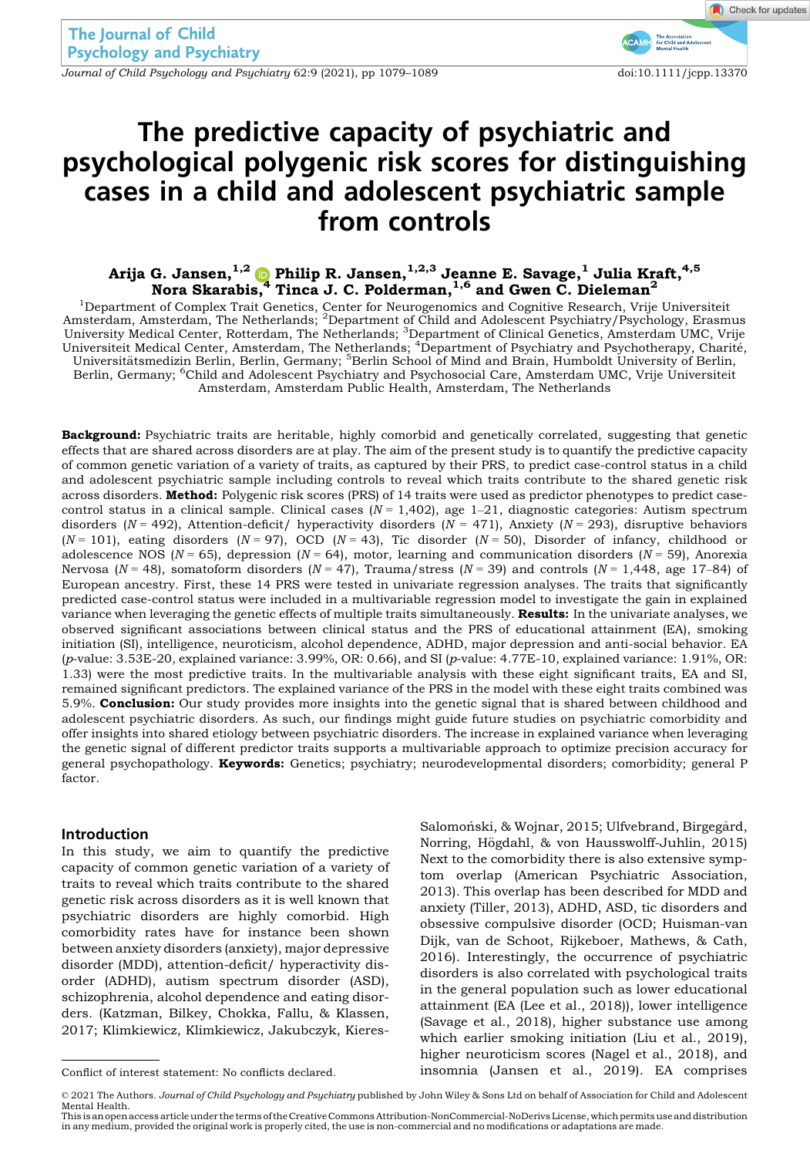Journal of Child Psychology and Psychiatry 62:9 (2021), pp 1079–1089 doi:10.1111/jcpp.13370

# The predictive capacity of psychiatric and psychological polygenic risk scores for distinguishing cases in a child and adolescent psychiatric sample from controls

Arija G. Jansen, $^{1,2}$  ( )Philip R. Jansen, $^{1,2,3}$  Jeanne E. Savage, $^1$  Julia Kraft, $^{4,5}$ Nora Skarabis,<sup>[4](https://orcid.org/0000-0001-6733-9023)</sup> Tinca J. C. Polderman,  $1,6$  and Gwen C. Dieleman<sup>2</sup>

<sup>1</sup>Department of Complex Trait Genetics, Center for Neurogenomics and Cognitive Research, Vrije Universiteit Amsterdam, Amsterdam, The Netherlands; <sup>2</sup>Department of Child and Adolescent Psychiatry/Psychology, Erasmus University Medical Center, Rotterdam, The Netherlands; <sup>3</sup>Department of Clinical Genetics, Amsterdam UMC, Vrije<br>Universiteit Medical Center, Amsterdam, The Netherlands; <sup>4</sup>Department of Psychiatry and Psychotherapy, Charit Universitätsmedizin Berlin, Berlin, Germany; <sup>5</sup>Berlin School of Mind and Brain, Humboldt University of Berlin, Berlin, Germany; <sup>6</sup>Child and Adolescent Psychiatry and Psychosocial Care, Amsterdam UMC, Vrije Universiteit Amsterdam, Amsterdam Public Health, Amsterdam, The Netherlands

Background: Psychiatric traits are heritable, highly comorbid and genetically correlated, suggesting that genetic effects that are shared across disorders are at play. The aim of the present study is to quantify the predictive capacity of common genetic variation of a variety of traits, as captured by their PRS, to predict case-control status in a child and adolescent psychiatric sample including controls to reveal which traits contribute to the shared genetic risk across disorders. Method: Polygenic risk scores (PRS) of 14 traits were used as predictor phenotypes to predict casecontrol status in a clinical sample. Clinical cases  $(N = 1,402)$ , age 1-21, diagnostic categories: Autism spectrum disorders ( $N = 492$ ), Attention-deficit/ hyperactivity disorders ( $N = 471$ ), Anxiety ( $N = 293$ ), disruptive behaviors  $(N = 101)$ , eating disorders  $(N = 97)$ , OCD  $(N = 43)$ , Tic disorder  $(N = 50)$ , Disorder of infancy, childhood or adolescence NOS ( $N = 65$ ), depression ( $N = 64$ ), motor, learning and communication disorders ( $N = 59$ ), Anorexia Nervosa ( $N = 48$ ), somatoform disorders ( $N = 47$ ), Trauma/stress ( $N = 39$ ) and controls ( $N = 1,448$ , age 17–84) of European ancestry. First, these 14 PRS were tested in univariate regression analyses. The traits that significantly predicted case-control status were included in a multivariable regression model to investigate the gain in explained variance when leveraging the genetic effects of multiple traits simultaneously. Results: In the univariate analyses, we observed significant associations between clinical status and the PRS of educational attainment (EA), smoking initiation (SI), intelligence, neuroticism, alcohol dependence, ADHD, major depression and anti-social behavior. EA (p-value: 3.53E-20, explained variance: 3.99%, OR: 0.66), and SI (p-value: 4.77E-10, explained variance: 1.91%, OR: 1.33) were the most predictive traits. In the multivariable analysis with these eight significant traits, EA and SI, remained significant predictors. The explained variance of the PRS in the model with these eight traits combined was 5.9%. **Conclusion:** Our study provides more insights into the genetic signal that is shared between childhood and adolescent psychiatric disorders. As such, our findings might guide future studies on psychiatric comorbidity and offer insights into shared etiology between psychiatric disorders. The increase in explained variance when leveraging the genetic signal of different predictor traits supports a multivariable approach to optimize precision accuracy for general psychopathology. Keywords: Genetics; psychiatry; neurodevelopmental disorders; comorbidity; general P factor.

#### Introduction

In this study, we aim to quantify the predictive capacity of common genetic variation of a variety of traits to reveal which traits contribute to the shared genetic risk across disorders as it is well known that psychiatric disorders are highly comorbid. High comorbidity rates have for instance been shown between anxiety disorders (anxiety), major depressive disorder (MDD), attention-deficit/ hyperactivity disorder (ADHD), autism spectrum disorder (ASD), schizophrenia, alcohol dependence and eating disorders. (Katzman, Bilkey, Chokka, Fallu, & Klassen, 2017; Klimkiewicz, Klimkiewicz, Jakubczyk, Kieres-

Salomoński, & Wojnar, 2015; Ulfvebrand, Birgegård, Norring, Högdahl, & von Hausswolff-Juhlin, 2015) Next to the comorbidity there is also extensive symptom overlap (American Psychiatric Association, 2013). This overlap has been described for MDD and anxiety (Tiller, 2013), ADHD, ASD, tic disorders and obsessive compulsive disorder (OCD; Huisman-van Dijk, van de Schoot, Rijkeboer, Mathews, & Cath, 2016). Interestingly, the occurrence of psychiatric disorders is also correlated with psychological traits in the general population such as lower educational attainment (EA (Lee et al., 2018)), lower intelligence (Savage et al., 2018), higher substance use among which earlier smoking initiation (Liu et al., 2019), higher neuroticism scores (Nagel et al., 2018), and Conflict of interest statement: No conflicts declared. insomnia (Jansen et al., 2019). EA comprises

This is an open access article under the terms of the [Creative Commons Attribution-NonCommercial-NoDerivs](http://creativecommons.org/licenses/by-nc-nd/4.0/) License, which permits use and distribution in any medium, provided the original work is properly cited, the use is non-commercial and no modifications or adaptations are made.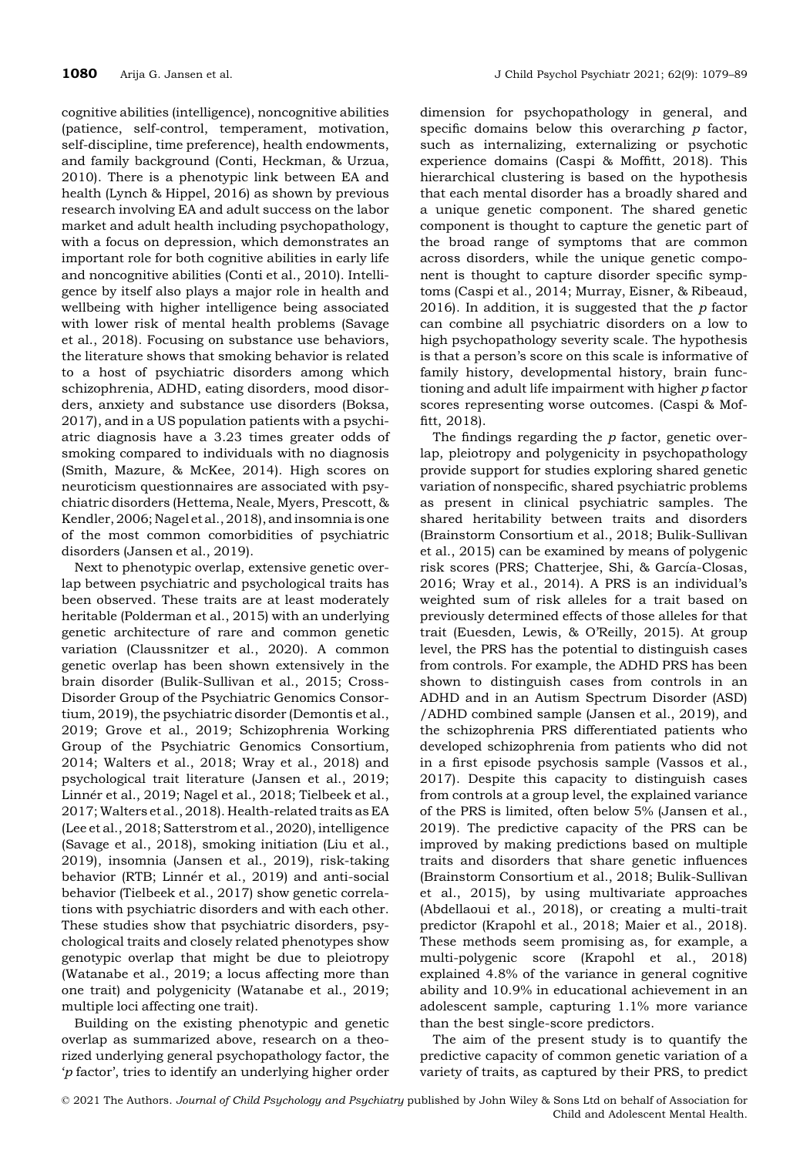cognitive abilities (intelligence), noncognitive abilities (patience, self-control, temperament, motivation, self-discipline, time preference), health endowments, and family background (Conti, Heckman, & Urzua, 2010). There is a phenotypic link between EA and health (Lynch & Hippel, 2016) as shown by previous research involving EA and adult success on the labor market and adult health including psychopathology, with a focus on depression, which demonstrates an important role for both cognitive abilities in early life and noncognitive abilities (Conti et al., 2010). Intelligence by itself also plays a major role in health and wellbeing with higher intelligence being associated with lower risk of mental health problems (Savage et al., 2018). Focusing on substance use behaviors, the literature shows that smoking behavior is related to a host of psychiatric disorders among which schizophrenia, ADHD, eating disorders, mood disorders, anxiety and substance use disorders (Boksa, 2017), and in a US population patients with a psychiatric diagnosis have a 3.23 times greater odds of smoking compared to individuals with no diagnosis (Smith, Mazure, & McKee, 2014). High scores on neuroticism questionnaires are associated with psychiatric disorders (Hettema, Neale, Myers, Prescott, & Kendler, 2006; Nagel et al., 2018), and insomnia is one of the most common comorbidities of psychiatric disorders (Jansen et al., 2019).

Next to phenotypic overlap, extensive genetic overlap between psychiatric and psychological traits has been observed. These traits are at least moderately heritable (Polderman et al., 2015) with an underlying genetic architecture of rare and common genetic variation (Claussnitzer et al., 2020). A common genetic overlap has been shown extensively in the brain disorder (Bulik-Sullivan et al., 2015; Cross-Disorder Group of the Psychiatric Genomics Consortium, 2019), the psychiatric disorder (Demontis et al., 2019; Grove et al., 2019; Schizophrenia Working Group of the Psychiatric Genomics Consortium, 2014; Walters et al., 2018; Wray et al., 2018) and psychological trait literature (Jansen et al., 2019; Linnér et al., 2019; Nagel et al., 2018; Tielbeek et al., 2017; Walters et al., 2018). Health-related traits as EA (Lee et al., 2018; Satterstrom et al., 2020), intelligence (Savage et al., 2018), smoking initiation (Liu et al., 2019), insomnia (Jansen et al., 2019), risk-taking behavior (RTB; Linnér et al., 2019) and anti-social behavior (Tielbeek et al., 2017) show genetic correlations with psychiatric disorders and with each other. These studies show that psychiatric disorders, psychological traits and closely related phenotypes show genotypic overlap that might be due to pleiotropy (Watanabe et al., 2019; a locus affecting more than one trait) and polygenicity (Watanabe et al., 2019; multiple loci affecting one trait).

Building on the existing phenotypic and genetic overlap as summarized above, research on a theorized underlying general psychopathology factor, the 'p factor', tries to identify an underlying higher order

dimension for psychopathology in general, and specific domains below this overarching  $p$  factor, such as internalizing, externalizing or psychotic experience domains (Caspi & Moffitt, 2018). This hierarchical clustering is based on the hypothesis that each mental disorder has a broadly shared and a unique genetic component. The shared genetic component is thought to capture the genetic part of the broad range of symptoms that are common across disorders, while the unique genetic component is thought to capture disorder specific symptoms (Caspi et al., 2014; Murray, Eisner, & Ribeaud, 2016). In addition, it is suggested that the  $p$  factor can combine all psychiatric disorders on a low to high psychopathology severity scale. The hypothesis is that a person's score on this scale is informative of family history, developmental history, brain functioning and adult life impairment with higher p factor scores representing worse outcomes. (Caspi & Moffitt, 2018).

The findings regarding the  $p$  factor, genetic overlap, pleiotropy and polygenicity in psychopathology provide support for studies exploring shared genetic variation of nonspecific, shared psychiatric problems as present in clinical psychiatric samples. The shared heritability between traits and disorders (Brainstorm Consortium et al., 2018; Bulik-Sullivan et al., 2015) can be examined by means of polygenic risk scores (PRS; Chatterjee, Shi, & García-Closas, 2016; Wray et al., 2014). A PRS is an individual's weighted sum of risk alleles for a trait based on previously determined effects of those alleles for that trait (Euesden, Lewis, & O'Reilly, 2015). At group level, the PRS has the potential to distinguish cases from controls. For example, the ADHD PRS has been shown to distinguish cases from controls in an ADHD and in an Autism Spectrum Disorder (ASD) /ADHD combined sample (Jansen et al., 2019), and the schizophrenia PRS differentiated patients who developed schizophrenia from patients who did not in a first episode psychosis sample (Vassos et al., 2017). Despite this capacity to distinguish cases from controls at a group level, the explained variance of the PRS is limited, often below 5% (Jansen et al., 2019). The predictive capacity of the PRS can be improved by making predictions based on multiple traits and disorders that share genetic influences (Brainstorm Consortium et al., 2018; Bulik-Sullivan et al., 2015), by using multivariate approaches (Abdellaoui et al., 2018), or creating a multi-trait predictor (Krapohl et al., 2018; Maier et al., 2018). These methods seem promising as, for example, a multi-polygenic score (Krapohl et al., 2018) explained 4.8% of the variance in general cognitive ability and 10.9% in educational achievement in an adolescent sample, capturing 1.1% more variance than the best single-score predictors.

The aim of the present study is to quantify the predictive capacity of common genetic variation of a variety of traits, as captured by their PRS, to predict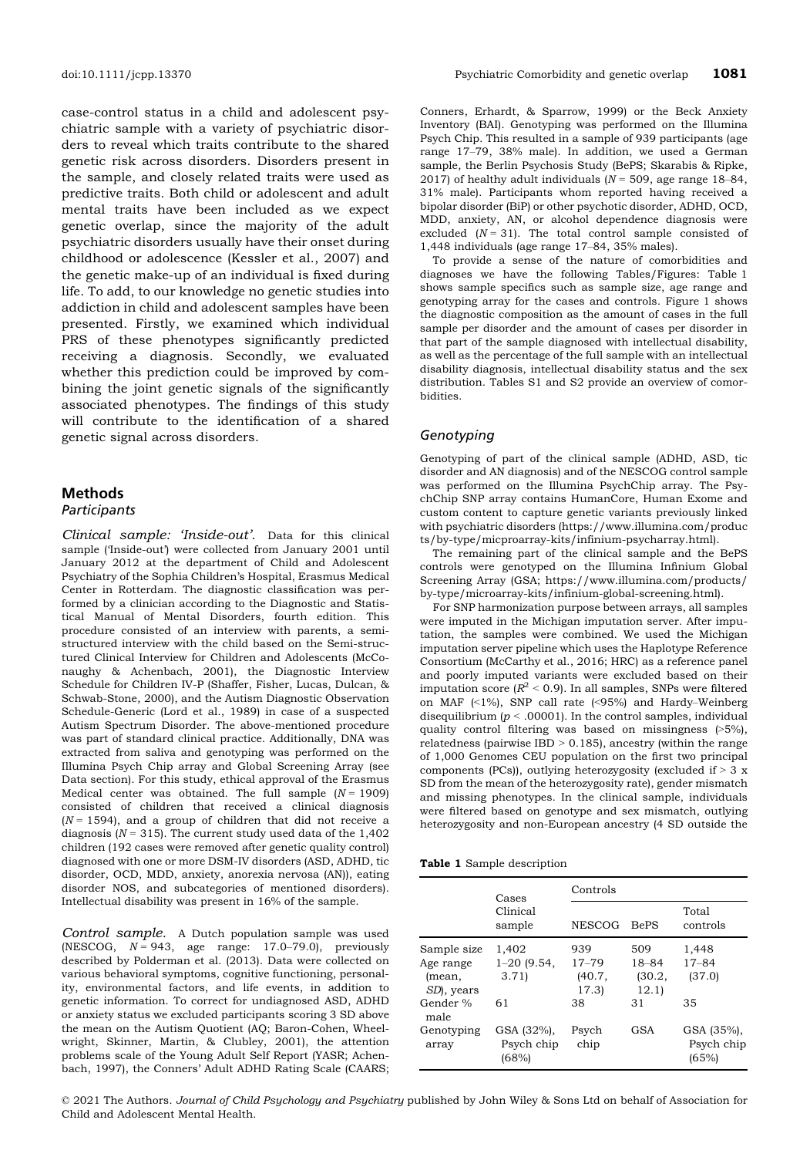case-control status in a child and adolescent psychiatric sample with a variety of psychiatric disorders to reveal which traits contribute to the shared genetic risk across disorders. Disorders present in the sample, and closely related traits were used as predictive traits. Both child or adolescent and adult mental traits have been included as we expect genetic overlap, since the majority of the adult psychiatric disorders usually have their onset during childhood or adolescence (Kessler et al., 2007) and the genetic make-up of an individual is fixed during life. To add, to our knowledge no genetic studies into addiction in child and adolescent samples have been presented. Firstly, we examined which individual PRS of these phenotypes significantly predicted receiving a diagnosis. Secondly, we evaluated whether this prediction could be improved by combining the joint genetic signals of the significantly associated phenotypes. The findings of this study will contribute to the identification of a shared genetic signal across disorders.

## Methods

#### **Participants**

Clinical sample: 'Inside-out'. Data for this clinical sample ('Inside-out') were collected from January 2001 until January 2012 at the department of Child and Adolescent Psychiatry of the Sophia Children's Hospital, Erasmus Medical Center in Rotterdam. The diagnostic classification was performed by a clinician according to the Diagnostic and Statistical Manual of Mental Disorders, fourth edition. This procedure consisted of an interview with parents, a semistructured interview with the child based on the Semi-structured Clinical Interview for Children and Adolescents (McConaughy & Achenbach, 2001), the Diagnostic Interview Schedule for Children IV-P (Shaffer, Fisher, Lucas, Dulcan, & Schwab-Stone, 2000), and the Autism Diagnostic Observation Schedule-Generic (Lord et al., 1989) in case of a suspected Autism Spectrum Disorder. The above-mentioned procedure was part of standard clinical practice. Additionally, DNA was extracted from saliva and genotyping was performed on the Illumina Psych Chip array and Global Screening Array (see Data section). For this study, ethical approval of the Erasmus Medical center was obtained. The full sample  $(N = 1909)$ consisted of children that received a clinical diagnosis  $(N = 1594)$ , and a group of children that did not receive a diagnosis ( $N = 315$ ). The current study used data of the 1,402 children (192 cases were removed after genetic quality control) diagnosed with one or more DSM-IV disorders (ASD, ADHD, tic disorder, OCD, MDD, anxiety, anorexia nervosa (AN)), eating disorder NOS, and subcategories of mentioned disorders). Intellectual disability was present in 16% of the sample.

Control sample. A Dutch population sample was used (NESCOG,  $N = 943$ , age range: 17.0–79.0), previously described by Polderman et al. (2013). Data were collected on various behavioral symptoms, cognitive functioning, personality, environmental factors, and life events, in addition to genetic information. To correct for undiagnosed ASD, ADHD or anxiety status we excluded participants scoring 3 SD above the mean on the Autism Quotient (AQ; Baron-Cohen, Wheelwright, Skinner, Martin, & Clubley, 2001), the attention problems scale of the Young Adult Self Report (YASR; Achenbach, 1997), the Conners' Adult ADHD Rating Scale (CAARS;

Conners, Erhardt, & Sparrow, 1999) or the Beck Anxiety Inventory (BAI). Genotyping was performed on the Illumina Psych Chip. This resulted in a sample of 939 participants (age range 17–79, 38% male). In addition, we used a German sample, the Berlin Psychosis Study (BePS; Skarabis & Ripke, 2017) of healthy adult individuals ( $N = 509$ , age range 18-84, 31% male). Participants whom reported having received a bipolar disorder (BiP) or other psychotic disorder, ADHD, OCD, MDD, anxiety, AN, or alcohol dependence diagnosis were excluded  $(N = 31)$ . The total control sample consisted of 1,448 individuals (age range 17–84, 35% males).

To provide a sense of the nature of comorbidities and diagnoses we have the following Tables/Figures: Table 1 shows sample specifics such as sample size, age range and genotyping array for the cases and controls. Figure 1 shows the diagnostic composition as the amount of cases in the full sample per disorder and the amount of cases per disorder in that part of the sample diagnosed with intellectual disability, as well as the percentage of the full sample with an intellectual disability diagnosis, intellectual disability status and the sex distribution. Tables S1 and S2 provide an overview of comorbidities.

#### Genotyping

Genotyping of part of the clinical sample (ADHD, ASD, tic disorder and AN diagnosis) and of the NESCOG control sample was performed on the Illumina PsychChip array. The PsychChip SNP array contains HumanCore, Human Exome and custom content to capture genetic variants previously linked with psychiatric disorders [\(https://www.illumina.com/produc](https://www.illumina.com/products/by-type/micproarray-kits/infinium-psycharray.html) [ts/by-type/micproarray-kits/infinium-psycharray.html](https://www.illumina.com/products/by-type/micproarray-kits/infinium-psycharray.html)).

The remaining part of the clinical sample and the BePS controls were genotyped on the Illumina Infinium Global Screening Array (GSA; [https://www.illumina.com/products/](https://www.illumina.com/products/by-type/microarray-kits/infinium-global-screening.html) [by-type/microarray-kits/infinium-global-screening.html\)](https://www.illumina.com/products/by-type/microarray-kits/infinium-global-screening.html).

For SNP harmonization purpose between arrays, all samples were imputed in the Michigan imputation server. After imputation, the samples were combined. We used the Michigan imputation server pipeline which uses the Haplotype Reference Consortium (McCarthy et al., 2016; HRC) as a reference panel and poorly imputed variants were excluded based on their imputation score  $(R^2 < 0.9)$ . In all samples, SNPs were filtered on MAF (<1%), SNP call rate (<95%) and Hardy–Weinberg disequilibrium ( $p < .00001$ ). In the control samples, individual quality control filtering was based on missingness (>5%), relatedness (pairwise IBD > 0.185), ancestry (within the range of 1,000 Genomes CEU population on the first two principal components (PCs)), outlying heterozygosity (excluded if  $>$  3 x SD from the mean of the heterozygosity rate), gender mismatch and missing phenotypes. In the clinical sample, individuals were filtered based on genotype and sex mismatch, outlying heterozygosity and non-European ancestry (4 SD outside the

|  |  |  | Table 1 Sample description |
|--|--|--|----------------------------|
|--|--|--|----------------------------|

|                     | Cases                             | Controls                     |                     |                                   |  |  |  |  |
|---------------------|-----------------------------------|------------------------------|---------------------|-----------------------------------|--|--|--|--|
|                     | Clinical<br>sample                | <b>NESCOG</b><br><b>BePS</b> |                     | Total<br>controls                 |  |  |  |  |
| Sample size         | 1,402                             | 939                          | 509                 | 1,448                             |  |  |  |  |
| Age range<br>(mean, | $1 - 20$ (9.54,<br>3.71           | $17 - 79$<br>(40.7,          | $18 - 84$<br>(30.2, | $17 - 84$<br>(37.0)               |  |  |  |  |
| SD, years           |                                   | 17.3)                        | 12.1)               |                                   |  |  |  |  |
| Gender %<br>male    | 61                                | 38                           | 31                  | 35                                |  |  |  |  |
| Genotyping<br>array | GSA (32%),<br>Psych chip<br>(68%) | Psych<br>chip                | GSA                 | GSA (35%),<br>Psych chip<br>(65%) |  |  |  |  |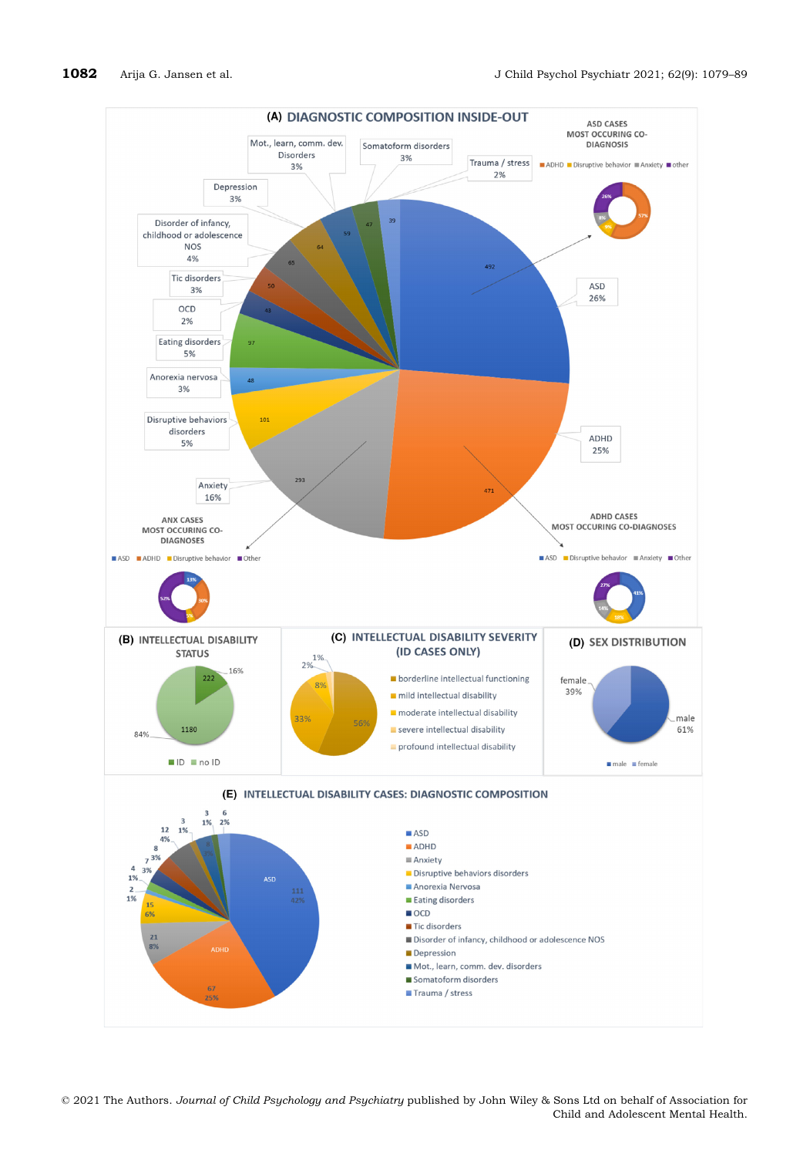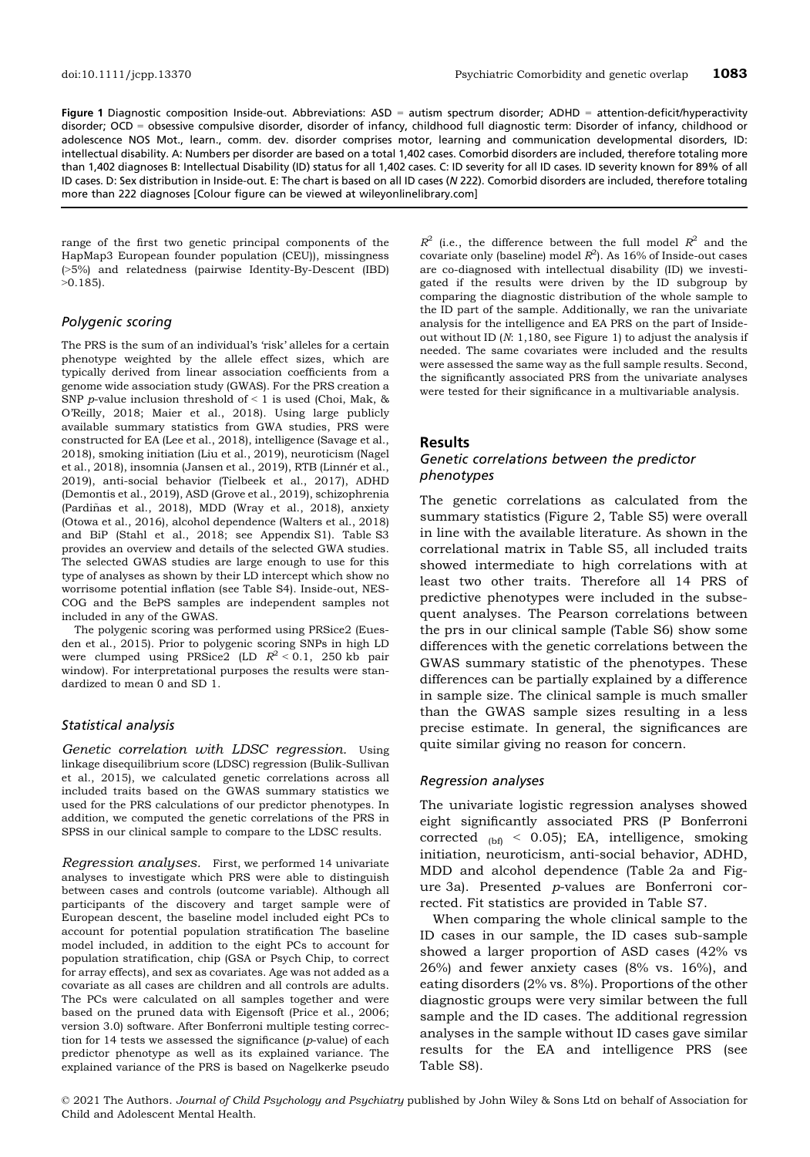Figure 1 Diagnostic composition Inside-out. Abbreviations: ASD = autism spectrum disorder; ADHD = attention-deficit/hyperactivity disorder; OCD = obsessive compulsive disorder, disorder of infancy, childhood full diagnostic term: Disorder of infancy, childhood or adolescence NOS Mot., learn., comm. dev. disorder comprises motor, learning and communication developmental disorders, ID: intellectual disability. A: Numbers per disorder are based on a total 1,402 cases. Comorbid disorders are included, therefore totaling more than 1,402 diagnoses B: Intellectual Disability (ID) status for all 1,402 cases. C: ID severity for all ID cases. ID severity known for 89% of all ID cases. D: Sex distribution in Inside-out. E: The chart is based on all ID cases (N 222). Comorbid disorders are included, therefore totaling more than 222 diagnoses [Colour figure can be viewed at [wileyonlinelibrary.com\]](www.wileyonlinelibrary.com)

range of the first two genetic principal components of the HapMap3 European founder population (CEU)), missingness (>5%) and relatedness (pairwise Identity-By-Descent (IBD)  $>0.185$ ).

## Polygenic scoring

The PRS is the sum of an individual's 'risk' alleles for a certain phenotype weighted by the allele effect sizes, which are typically derived from linear association coefficients from a genome wide association study (GWAS). For the PRS creation a SNP p-value inclusion threshold of  $\leq 1$  is used (Choi, Mak, & O'Reilly, 2018; Maier et al., 2018). Using large publicly available summary statistics from GWA studies, PRS were constructed for EA (Lee et al., 2018), intelligence (Savage et al., 2018), smoking initiation (Liu et al., 2019), neuroticism (Nagel et al., 2018), insomnia (Jansen et al., 2019), RTB (Linnér et al., 2019), anti-social behavior (Tielbeek et al., 2017), ADHD (Demontis et al., 2019), ASD (Grove et al., 2019), schizophrenia (Pardiñas et al., 2018), MDD (Wray et al., 2018), anxiety (Otowa et al., 2016), alcohol dependence (Walters et al., 2018) and BiP (Stahl et al., 2018; see Appendix S1). Table S3 provides an overview and details of the selected GWA studies. The selected GWAS studies are large enough to use for this type of analyses as shown by their LD intercept which show no worrisome potential inflation (see Table S4). Inside-out, NES-COG and the BePS samples are independent samples not included in any of the GWAS.

The polygenic scoring was performed using PRSice2 (Euesden et al., 2015). Prior to polygenic scoring SNPs in high LD were clumped using PRSice2 (LD  $R^2 < 0.1$ , 250 kb pair window). For interpretational purposes the results were standardized to mean 0 and SD 1.

#### Statistical analysis

Genetic correlation with LDSC regression. Using linkage disequilibrium score (LDSC) regression (Bulik-Sullivan et al., 2015), we calculated genetic correlations across all included traits based on the GWAS summary statistics we used for the PRS calculations of our predictor phenotypes. In addition, we computed the genetic correlations of the PRS in SPSS in our clinical sample to compare to the LDSC results.

Regression analyses. First, we performed 14 univariate analyses to investigate which PRS were able to distinguish between cases and controls (outcome variable). Although all participants of the discovery and target sample were of European descent, the baseline model included eight PCs to account for potential population stratification The baseline model included, in addition to the eight PCs to account for population stratification, chip (GSA or Psych Chip, to correct for array effects), and sex as covariates. Age was not added as a covariate as all cases are children and all controls are adults. The PCs were calculated on all samples together and were based on the pruned data with Eigensoft (Price et al., 2006; version 3.0) software. After Bonferroni multiple testing correction for 14 tests we assessed the significance (p-value) of each predictor phenotype as well as its explained variance. The explained variance of the PRS is based on Nagelkerke pseudo

 $R^2$  (i.e., the difference between the full model  $R^2$  and the covariate only (baseline) model  $R^2$ ). As 16% of Inside-out cases are co-diagnosed with intellectual disability (ID) we investigated if the results were driven by the ID subgroup by comparing the diagnostic distribution of the whole sample to the ID part of the sample. Additionally, we ran the univariate analysis for the intelligence and EA PRS on the part of Insideout without ID (N: 1,180, see Figure 1) to adjust the analysis if needed. The same covariates were included and the results were assessed the same way as the full sample results. Second, the significantly associated PRS from the univariate analyses were tested for their significance in a multivariable analysis.

#### Results

#### Genetic correlations between the predictor phenotypes

The genetic correlations as calculated from the summary statistics (Figure 2, Table S5) were overall in line with the available literature. As shown in the correlational matrix in Table S5, all included traits showed intermediate to high correlations with at least two other traits. Therefore all 14 PRS of predictive phenotypes were included in the subsequent analyses. The Pearson correlations between the prs in our clinical sample (Table S6) show some differences with the genetic correlations between the GWAS summary statistic of the phenotypes. These differences can be partially explained by a difference in sample size. The clinical sample is much smaller than the GWAS sample sizes resulting in a less precise estimate. In general, the significances are quite similar giving no reason for concern.

#### Regression analyses

The univariate logistic regression analyses showed eight significantly associated PRS (P Bonferroni corrected  $_{\text{(bf)}}$  < 0.05); EA, intelligence, smoking initiation, neuroticism, anti-social behavior, ADHD, MDD and alcohol dependence (Table 2a and Figure 3a). Presented p-values are Bonferroni corrected. Fit statistics are provided in Table S7.

When comparing the whole clinical sample to the ID cases in our sample, the ID cases sub-sample showed a larger proportion of ASD cases (42% vs 26%) and fewer anxiety cases (8% vs. 16%), and eating disorders (2% vs. 8%). Proportions of the other diagnostic groups were very similar between the full sample and the ID cases. The additional regression analyses in the sample without ID cases gave similar results for the EA and intelligence PRS (see Table S8).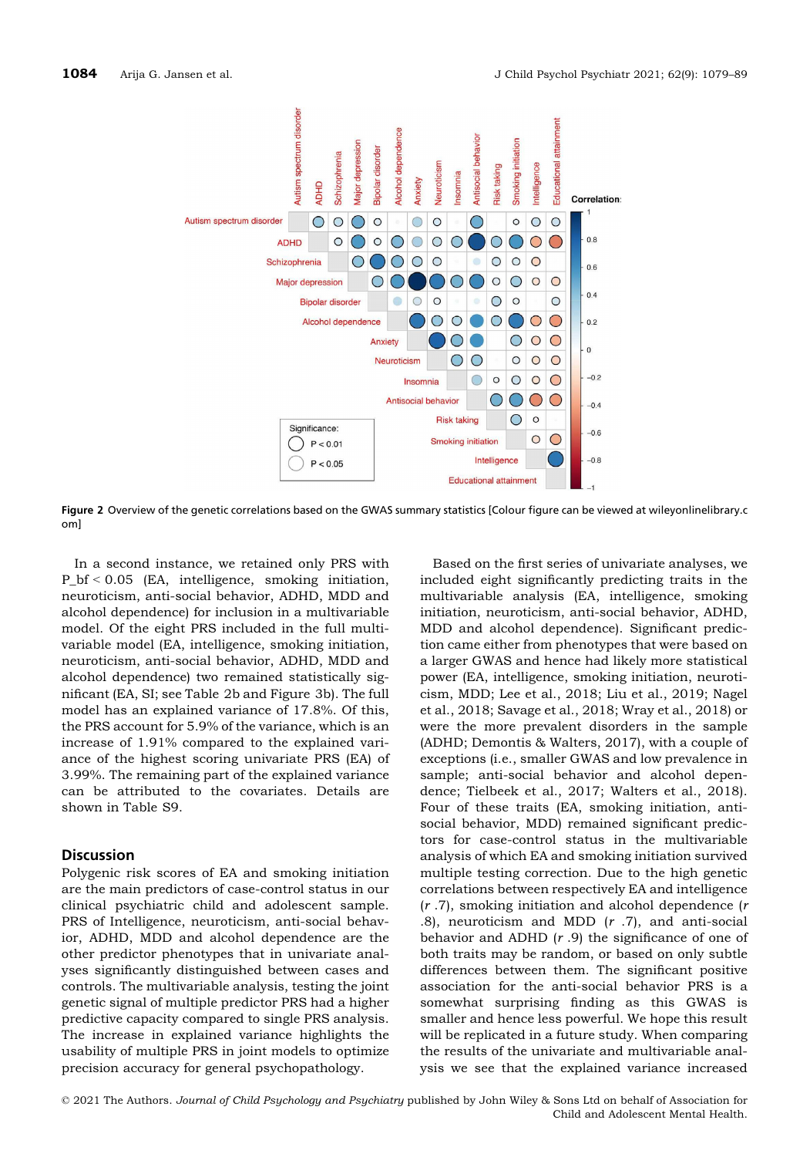

Figure 2 Overview of the genetic correlations based on the GWAS summary statistics [Colour figure can be viewed at [wileyonlinelibrary.c](www.wileyonlinelibrary.com) [om](www.wileyonlinelibrary.com)]

In a second instance, we retained only PRS with P\_bf < 0.05 (EA, intelligence, smoking initiation, neuroticism, anti-social behavior, ADHD, MDD and alcohol dependence) for inclusion in a multivariable model. Of the eight PRS included in the full multivariable model (EA, intelligence, smoking initiation, neuroticism, anti-social behavior, ADHD, MDD and alcohol dependence) two remained statistically significant (EA, SI; see Table 2b and Figure 3b). The full model has an explained variance of 17.8%. Of this, the PRS account for 5.9% of the variance, which is an increase of 1.91% compared to the explained variance of the highest scoring univariate PRS (EA) of 3.99%. The remaining part of the explained variance can be attributed to the covariates. Details are shown in Table S9.

## **Discussion**

Polygenic risk scores of EA and smoking initiation are the main predictors of case-control status in our clinical psychiatric child and adolescent sample. PRS of Intelligence, neuroticism, anti-social behavior, ADHD, MDD and alcohol dependence are the other predictor phenotypes that in univariate analyses significantly distinguished between cases and controls. The multivariable analysis, testing the joint genetic signal of multiple predictor PRS had a higher predictive capacity compared to single PRS analysis. The increase in explained variance highlights the usability of multiple PRS in joint models to optimize precision accuracy for general psychopathology.

Based on the first series of univariate analyses, we included eight significantly predicting traits in the multivariable analysis (EA, intelligence, smoking initiation, neuroticism, anti-social behavior, ADHD, MDD and alcohol dependence). Significant prediction came either from phenotypes that were based on a larger GWAS and hence had likely more statistical power (EA, intelligence, smoking initiation, neuroticism, MDD; Lee et al., 2018; Liu et al., 2019; Nagel et al., 2018; Savage et al., 2018; Wray et al., 2018) or were the more prevalent disorders in the sample (ADHD; Demontis & Walters, 2017), with a couple of exceptions (i.e., smaller GWAS and low prevalence in sample; anti-social behavior and alcohol dependence; Tielbeek et al., 2017; Walters et al., 2018). Four of these traits (EA, smoking initiation, antisocial behavior, MDD) remained significant predictors for case-control status in the multivariable analysis of which EA and smoking initiation survived multiple testing correction. Due to the high genetic correlations between respectively EA and intelligence  $(r.7)$ , smoking initiation and alcohol dependence  $(r.7)$ .8), neuroticism and MDD  $(r.7)$ , and anti-social behavior and ADHD  $(r.9)$  the significance of one of both traits may be random, or based on only subtle differences between them. The significant positive association for the anti-social behavior PRS is a somewhat surprising finding as this GWAS is smaller and hence less powerful. We hope this result will be replicated in a future study. When comparing the results of the univariate and multivariable analysis we see that the explained variance increased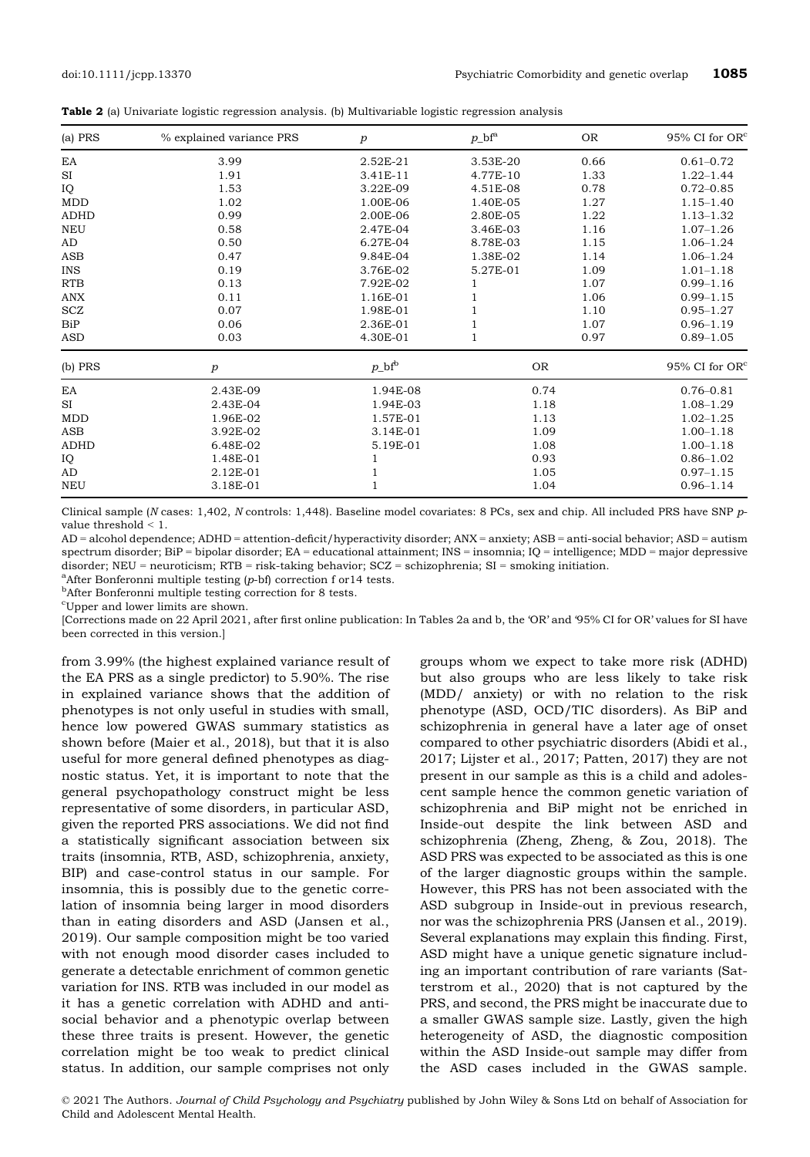|  |  |  |  |  |  |  | <b>Table 2</b> (a) Univariate logistic regression analysis. (b) Multivariable logistic regression analysis |  |  |  |
|--|--|--|--|--|--|--|------------------------------------------------------------------------------------------------------------|--|--|--|
|--|--|--|--|--|--|--|------------------------------------------------------------------------------------------------------------|--|--|--|

| $(a)$ PRS   | % explained variance PRS | $\boldsymbol{p}$ | $p_{\rm b}$ f <sup>a</sup> | <b>OR</b> | 95% CI for OR <sup>c</sup> |
|-------------|--------------------------|------------------|----------------------------|-----------|----------------------------|
| EA          | 3.99                     | 2.52E-21         | 3.53E-20                   | 0.66      | $0.61 - 0.72$              |
| SI          | 1.91                     | 3.41E-11         | 4.77E-10                   | 1.33      | $1.22 - 1.44$              |
| IQ          | 1.53                     | 3.22E-09         | 4.51E-08                   | 0.78      | $0.72 - 0.85$              |
| <b>MDD</b>  | 1.02                     | 1.00E-06         | 1.40E-05                   | 1.27      | $1.15 - 1.40$              |
| <b>ADHD</b> | 0.99                     | 2.00E-06         | 2.80E-05                   | 1.22      | $1.13 - 1.32$              |
| NEU         | 0.58                     | 2.47E-04         | 3.46E-03                   | 1.16      |                            |
| AD          | 0.50                     | 6.27E-04         | 8.78E-03                   | 1.15      | $1.06 - 1.24$              |
| <b>ASB</b>  | 0.47                     | 9.84E-04         | 1.38E-02                   | 1.14      | $1.06 - 1.24$              |
| <b>INS</b>  | 0.19                     | 3.76E-02         | 5.27E-01                   | 1.09      | $1.01 - 1.18$              |
| <b>RTB</b>  | 0.13                     | 7.92E-02         | 1                          | 1.07      | $0.99 - 1.16$              |
| <b>ANX</b>  | 0.11                     | 1.16E-01         |                            | 1.06      | $0.99 - 1.15$              |
| SCZ         | 0.07                     | 1.98E-01         |                            | 1.10      | $0.95 - 1.27$              |
| <b>BiP</b>  | 0.06                     | 2.36E-01         |                            | 1.07      | $0.96 - 1.19$              |
| <b>ASD</b>  | 0.03                     | 4.30E-01         |                            | 0.97      | $0.89 - 1.05$              |
| (b) PRS     | $\boldsymbol{p}$         | $p\_bf^b$        | <b>OR</b>                  |           | 95% CI for $OR^c$          |
| EA          | 2.43E-09                 | 1.94E-08         | 0.74                       |           | $0.76 - 0.81$              |
| <b>SI</b>   | 2.43E-04                 | 1.94E-03         | 1.18                       |           | $1.08 - 1.29$              |
| <b>MDD</b>  | 1.96E-02                 | 1.57E-01         | 1.13                       |           | $1.02 - 1.25$              |
| ASB         | 3.92E-02                 | 3.14E-01         | 1.09                       |           | $1.00 - 1.18$              |
| <b>ADHD</b> | 6.48E-02                 | 5.19E-01         | 1.08                       |           | $1.00 - 1.18$              |
| IQ          | 1.48E-01                 | 1                | 0.93                       |           | $0.86 - 1.02$              |
| AD          | 2.12E-01                 | $\mathbf{1}$     |                            | 1.05      |                            |
| <b>NEU</b>  | 3.18E-01                 | $\mathbf{1}$     | 1.04                       |           | $0.96 - 1.14$              |

Clinical sample (N cases: 1,402, N controls: 1,448). Baseline model covariates: 8 PCs, sex and chip. All included PRS have SNP pvalue threshold < 1.

AD = alcohol dependence; ADHD = attention-deficit/hyperactivity disorder; ANX = anxiety; ASB = anti-social behavior; ASD = autism spectrum disorder; BiP = bipolar disorder; EA = educational attainment; INS = insomnia; IQ = intelligence; MDD = major depressive disorder;  $NEU =$  neuroticism;  $RTB =$  risk-taking behavior;  $SCZ =$  schizophrenia;  $SI =$  smoking initiation.

 $^{\rm a}$ After Bonferonni multiple testing (p-bf) correction f or 14 tests.

<sup>b</sup>After Bonferonni multiple testing correction for 8 tests.

c Upper and lower limits are shown.

[Corrections made on 22 April 2021, after first online publication: In Tables 2a and b, the 'OR' and '95% CI for OR' values for SI have been corrected in this version.]

from 3.99% (the highest explained variance result of the EA PRS as a single predictor) to 5.90%. The rise in explained variance shows that the addition of phenotypes is not only useful in studies with small, hence low powered GWAS summary statistics as shown before (Maier et al., 2018), but that it is also useful for more general defined phenotypes as diagnostic status. Yet, it is important to note that the general psychopathology construct might be less representative of some disorders, in particular ASD, given the reported PRS associations. We did not find a statistically significant association between six traits (insomnia, RTB, ASD, schizophrenia, anxiety, BIP) and case-control status in our sample. For insomnia, this is possibly due to the genetic correlation of insomnia being larger in mood disorders than in eating disorders and ASD (Jansen et al., 2019). Our sample composition might be too varied with not enough mood disorder cases included to generate a detectable enrichment of common genetic variation for INS. RTB was included in our model as it has a genetic correlation with ADHD and antisocial behavior and a phenotypic overlap between these three traits is present. However, the genetic correlation might be too weak to predict clinical status. In addition, our sample comprises not only

groups whom we expect to take more risk (ADHD) but also groups who are less likely to take risk (MDD/ anxiety) or with no relation to the risk phenotype (ASD, OCD/TIC disorders). As BiP and schizophrenia in general have a later age of onset compared to other psychiatric disorders (Abidi et al., 2017; Lijster et al., 2017; Patten, 2017) they are not present in our sample as this is a child and adolescent sample hence the common genetic variation of schizophrenia and BiP might not be enriched in Inside-out despite the link between ASD and schizophrenia (Zheng, Zheng, & Zou, 2018). The ASD PRS was expected to be associated as this is one of the larger diagnostic groups within the sample. However, this PRS has not been associated with the ASD subgroup in Inside-out in previous research, nor was the schizophrenia PRS (Jansen et al., 2019). Several explanations may explain this finding. First, ASD might have a unique genetic signature including an important contribution of rare variants (Satterstrom et al., 2020) that is not captured by the PRS, and second, the PRS might be inaccurate due to a smaller GWAS sample size. Lastly, given the high heterogeneity of ASD, the diagnostic composition within the ASD Inside-out sample may differ from the ASD cases included in the GWAS sample.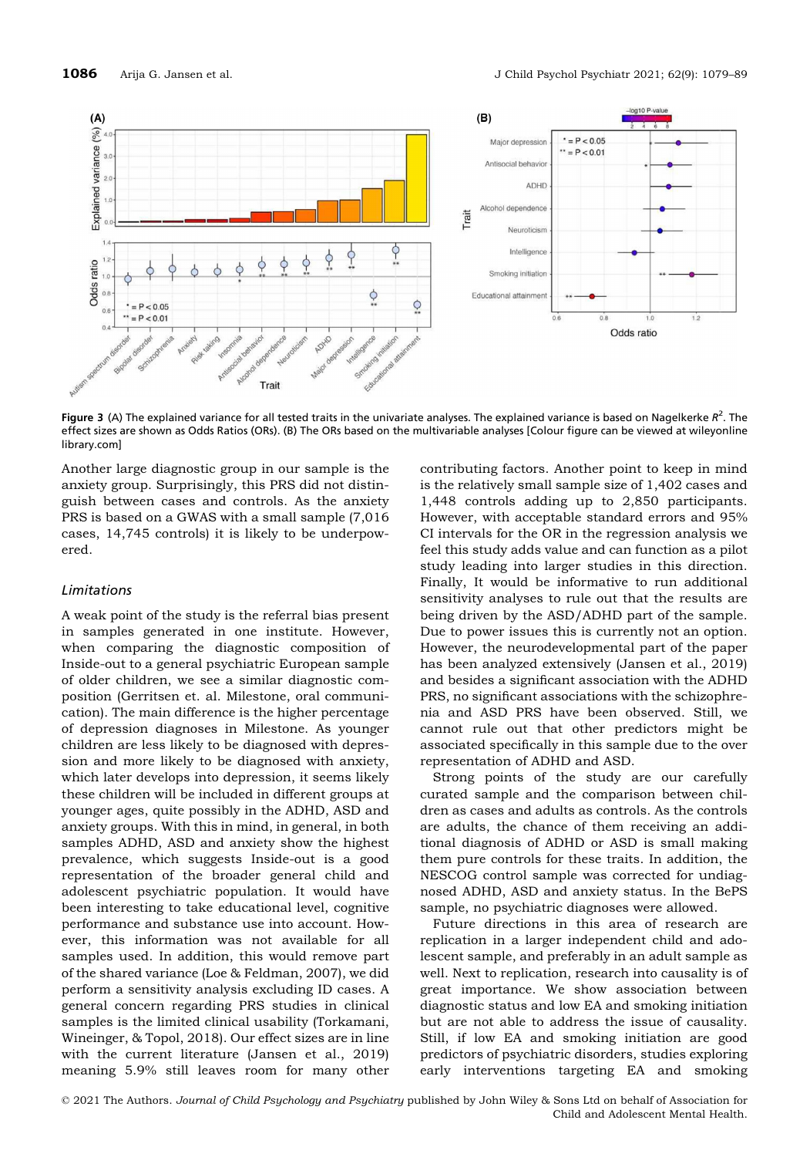

Figure 3 (A) The explained variance for all tested traits in the univariate analyses. The explained variance is based on Nagelkerke  $R^2$ . The effect sizes are shown as Odds Ratios (ORs). (B) The ORs based on the multivariable analyses [Colour figure can be viewed at [wileyonline](www.wileyonlinelibrary.com) [library.com\]](www.wileyonlinelibrary.com)

Another large diagnostic group in our sample is the anxiety group. Surprisingly, this PRS did not distinguish between cases and controls. As the anxiety PRS is based on a GWAS with a small sample (7,016 cases, 14,745 controls) it is likely to be underpowered.

## Limitations

A weak point of the study is the referral bias present in samples generated in one institute. However, when comparing the diagnostic composition of Inside-out to a general psychiatric European sample of older children, we see a similar diagnostic composition (Gerritsen et. al. Milestone, oral communication). The main difference is the higher percentage of depression diagnoses in Milestone. As younger children are less likely to be diagnosed with depression and more likely to be diagnosed with anxiety, which later develops into depression, it seems likely these children will be included in different groups at younger ages, quite possibly in the ADHD, ASD and anxiety groups. With this in mind, in general, in both samples ADHD, ASD and anxiety show the highest prevalence, which suggests Inside-out is a good representation of the broader general child and adolescent psychiatric population. It would have been interesting to take educational level, cognitive performance and substance use into account. However, this information was not available for all samples used. In addition, this would remove part of the shared variance (Loe & Feldman, 2007), we did perform a sensitivity analysis excluding ID cases. A general concern regarding PRS studies in clinical samples is the limited clinical usability (Torkamani, Wineinger, & Topol, 2018). Our effect sizes are in line with the current literature (Jansen et al., 2019) meaning 5.9% still leaves room for many other

contributing factors. Another point to keep in mind is the relatively small sample size of 1,402 cases and 1,448 controls adding up to 2,850 participants. However, with acceptable standard errors and 95% CI intervals for the OR in the regression analysis we feel this study adds value and can function as a pilot study leading into larger studies in this direction. Finally, It would be informative to run additional sensitivity analyses to rule out that the results are being driven by the ASD/ADHD part of the sample. Due to power issues this is currently not an option. However, the neurodevelopmental part of the paper has been analyzed extensively (Jansen et al., 2019) and besides a significant association with the ADHD PRS, no significant associations with the schizophrenia and ASD PRS have been observed. Still, we cannot rule out that other predictors might be associated specifically in this sample due to the over representation of ADHD and ASD.

Strong points of the study are our carefully curated sample and the comparison between children as cases and adults as controls. As the controls are adults, the chance of them receiving an additional diagnosis of ADHD or ASD is small making them pure controls for these traits. In addition, the NESCOG control sample was corrected for undiagnosed ADHD, ASD and anxiety status. In the BePS sample, no psychiatric diagnoses were allowed.

Future directions in this area of research are replication in a larger independent child and adolescent sample, and preferably in an adult sample as well. Next to replication, research into causality is of great importance. We show association between diagnostic status and low EA and smoking initiation but are not able to address the issue of causality. Still, if low EA and smoking initiation are good predictors of psychiatric disorders, studies exploring early interventions targeting EA and smoking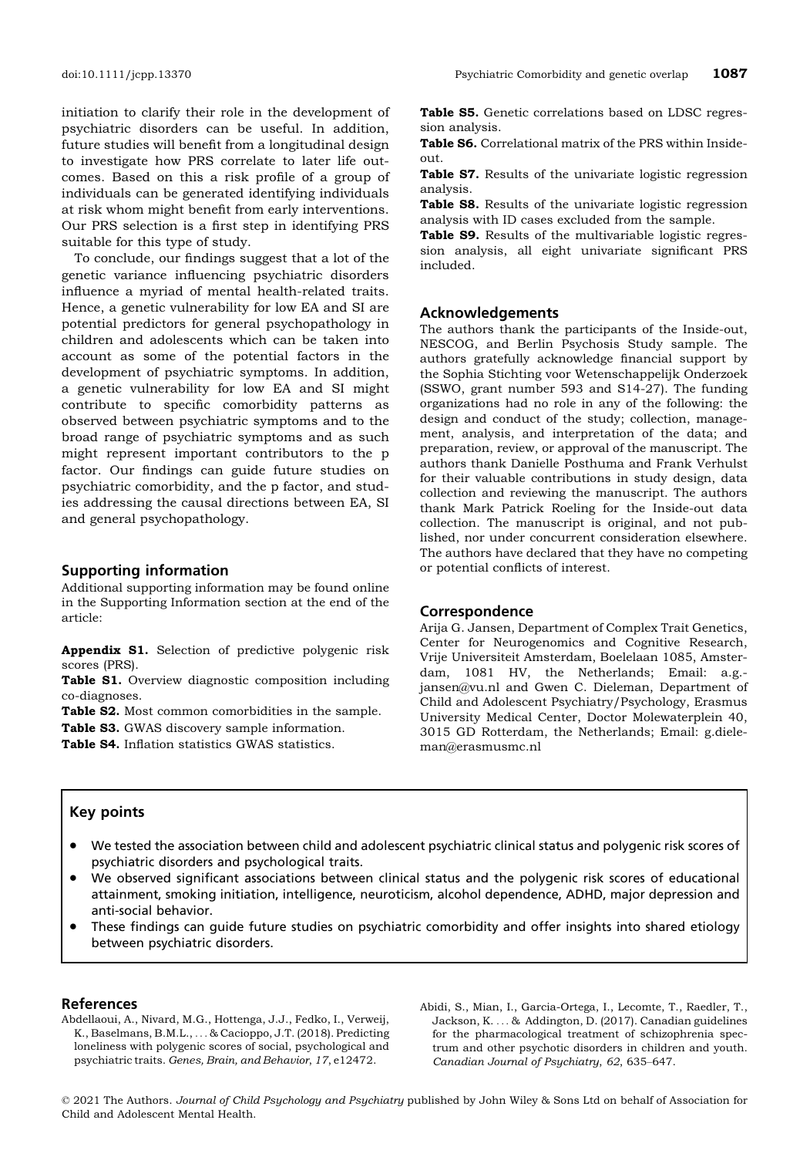initiation to clarify their role in the development of psychiatric disorders can be useful. In addition, future studies will benefit from a longitudinal design to investigate how PRS correlate to later life outcomes. Based on this a risk profile of a group of individuals can be generated identifying individuals at risk whom might benefit from early interventions. Our PRS selection is a first step in identifying PRS suitable for this type of study.

To conclude, our findings suggest that a lot of the genetic variance influencing psychiatric disorders influence a myriad of mental health-related traits. Hence, a genetic vulnerability for low EA and SI are potential predictors for general psychopathology in children and adolescents which can be taken into account as some of the potential factors in the development of psychiatric symptoms. In addition, a genetic vulnerability for low EA and SI might contribute to specific comorbidity patterns as observed between psychiatric symptoms and to the broad range of psychiatric symptoms and as such might represent important contributors to the p factor. Our findings can guide future studies on psychiatric comorbidity, and the p factor, and studies addressing the causal directions between EA, SI and general psychopathology.

## Supporting information

Additional supporting information may be found online in the Supporting Information section at the end of the article:

Appendix S1. Selection of predictive polygenic risk scores (PRS).

Table S1. Overview diagnostic composition including co-diagnoses.

Table S2. Most common comorbidities in the sample.

Table S3. GWAS discovery sample information.

Table S4. Inflation statistics GWAS statistics.

Table S5. Genetic correlations based on LDSC regression analysis.

Table S6. Correlational matrix of the PRS within Insideout.

Table S7. Results of the univariate logistic regression analysis.

Table S8. Results of the univariate logistic regression analysis with ID cases excluded from the sample.

Table S9. Results of the multivariable logistic regression analysis, all eight univariate significant PRS included.

#### Acknowledgements

The authors thank the participants of the Inside-out, NESCOG, and Berlin Psychosis Study sample. The authors gratefully acknowledge financial support by the Sophia Stichting voor Wetenschappelijk Onderzoek (SSWO, grant number 593 and S14-27). The funding organizations had no role in any of the following: the design and conduct of the study; collection, management, analysis, and interpretation of the data; and preparation, review, or approval of the manuscript. The authors thank Danielle Posthuma and Frank Verhulst for their valuable contributions in study design, data collection and reviewing the manuscript. The authors thank Mark Patrick Roeling for the Inside-out data collection. The manuscript is original, and not published, nor under concurrent consideration elsewhere. The authors have declared that they have no competing or potential conflicts of interest.

#### Correspondence

Arija G. Jansen, Department of Complex Trait Genetics, Center for Neurogenomics and Cognitive Research, Vrije Universiteit Amsterdam, Boelelaan 1085, Amsterdam, 1081 HV, the Netherlands; Email: a.g. jansen@vu.nl and Gwen C. Dieleman, Department of Child and Adolescent Psychiatry/Psychology, Erasmus University Medical Center, Doctor Molewaterplein 40, 3015 GD Rotterdam, the Netherlands; Email: g.dieleman@erasmusmc.nl

# Key points

- We tested the association between child and adolescent psychiatric clinical status and polygenic risk scores of psychiatric disorders and psychological traits.
- We observed significant associations between clinical status and the polygenic risk scores of educational attainment, smoking initiation, intelligence, neuroticism, alcohol dependence, ADHD, major depression and anti-social behavior.
- These findings can guide future studies on psychiatric comorbidity and offer insights into shared etiology between psychiatric disorders.

#### References

Abdellaoui, A., Nivard, M.G., Hottenga, J.J., Fedko, I., Verweij, K., Baselmans, B.M.L., ... & Cacioppo, J.T. (2018). Predicting loneliness with polygenic scores of social, psychological and psychiatric traits. Genes, Brain, and Behavior, 17, e12472.

Abidi, S., Mian, I., Garcia-Ortega, I., Lecomte, T., Raedler, T., Jackson, K. ... & Addington, D. (2017). Canadian guidelines for the pharmacological treatment of schizophrenia spectrum and other psychotic disorders in children and youth. Canadian Journal of Psychiatry, 62, 635–647.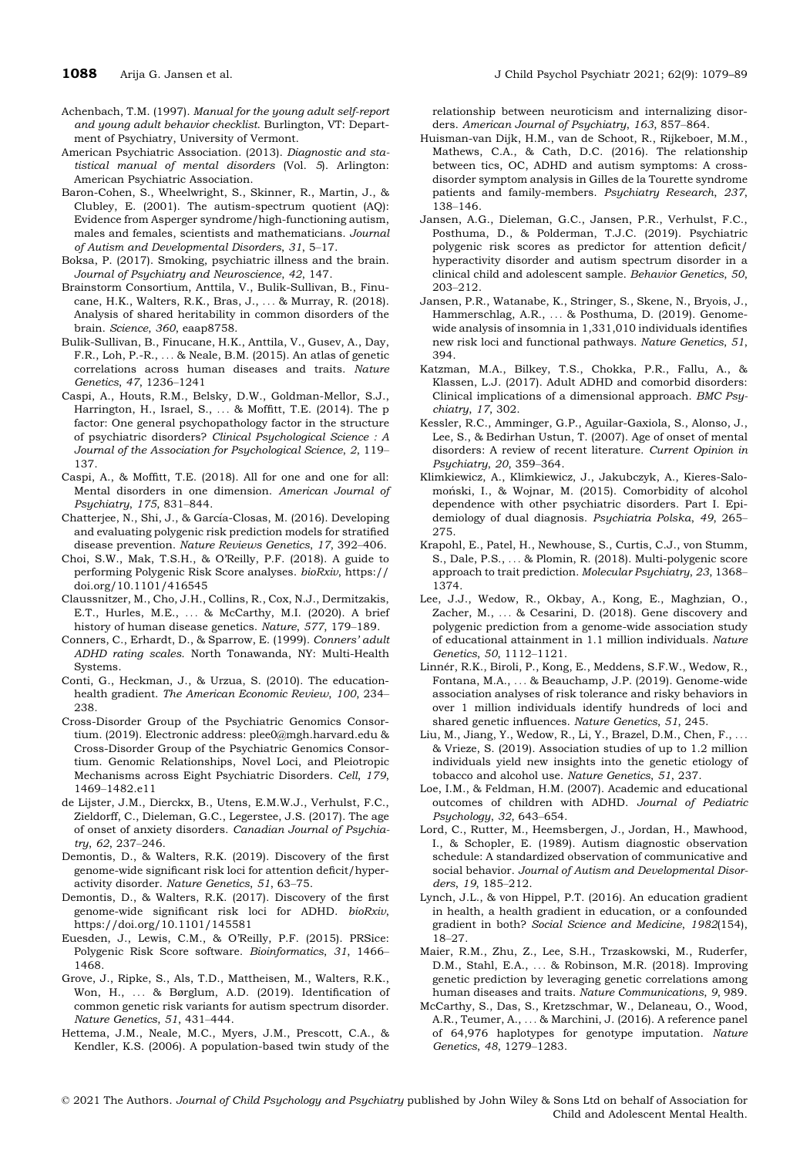- Achenbach, T.M. (1997). Manual for the young adult self-report and young adult behavior checklist. Burlington, VT: Department of Psychiatry, University of Vermont.
- American Psychiatric Association. (2013). Diagnostic and statistical manual of mental disorders (Vol. 5). Arlington: American Psychiatric Association.
- Baron-Cohen, S., Wheelwright, S., Skinner, R., Martin, J., & Clubley, E. (2001). The autism-spectrum quotient (AQ): Evidence from Asperger syndrome/high-functioning autism, males and females, scientists and mathematicians. Journal of Autism and Developmental Disorders, 31, 5–17.
- Boksa, P. (2017). Smoking, psychiatric illness and the brain. Journal of Psychiatry and Neuroscience, 42, 147.
- Brainstorm Consortium, Anttila, V., Bulik-Sullivan, B., Finucane, H.K., Walters, R.K., Bras, J., ... & Murray, R. (2018). Analysis of shared heritability in common disorders of the brain. Science, 360, eaap8758.
- Bulik-Sullivan, B., Finucane, H.K., Anttila, V., Gusev, A., Day, F.R., Loh, P.-R., ... & Neale, B.M. (2015). An atlas of genetic correlations across human diseases and traits. Nature Genetics, 47, 1236–1241
- Caspi, A., Houts, R.M., Belsky, D.W., Goldman-Mellor, S.J., Harrington, H., Israel, S., ... & Moffitt, T.E. (2014). The p factor: One general psychopathology factor in the structure of psychiatric disorders? Clinical Psychological Science : A Journal of the Association for Psychological Science, 2, 119– 137.
- Caspi, A., & Moffitt, T.E. (2018). All for one and one for all: Mental disorders in one dimension. American Journal of Psychiatry, 175, 831–844.
- Chatterjee, N., Shi, J., & García-Closas, M. (2016). Developing and evaluating polygenic risk prediction models for stratified disease prevention. Nature Reviews Genetics, 17, 392–406.
- Choi, S.W., Mak, T.S.H., & O'Reilly, P.F. (2018). A guide to performing Polygenic Risk Score analyses. bioRxiv, [https://](https://doi.org/10.1101/416545) [doi.org/10.1101/416545](https://doi.org/10.1101/416545)
- Claussnitzer, M., Cho, J.H., Collins, R., Cox, N.J., Dermitzakis, E.T., Hurles, M.E., ... & McCarthy, M.I. (2020). A brief history of human disease genetics. Nature, 577, 179–189.
- Conners, C., Erhardt, D., & Sparrow, E. (1999). Conners' adult ADHD rating scales. North Tonawanda, NY: Multi-Health Systems.
- Conti, G., Heckman, J., & Urzua, S. (2010). The educationhealth gradient. The American Economic Review, 100, 234– 238.
- Cross-Disorder Group of the Psychiatric Genomics Consortium. (2019). Electronic address: plee0@mgh.harvard.edu & Cross-Disorder Group of the Psychiatric Genomics Consortium. Genomic Relationships, Novel Loci, and Pleiotropic Mechanisms across Eight Psychiatric Disorders. Cell, 179, 1469–1482.e11
- de Lijster, J.M., Dierckx, B., Utens, E.M.W.J., Verhulst, F.C., Zieldorff, C., Dieleman, G.C., Legerstee, J.S. (2017). The age of onset of anxiety disorders. Canadian Journal of Psychiatry, 62, 237–246.
- Demontis, D., & Walters, R.K. (2019). Discovery of the first genome-wide significant risk loci for attention deficit/hyperactivity disorder. Nature Genetics, 51, 63–75.
- Demontis, D., & Walters, R.K. (2017). Discovery of the first genome-wide significant risk loci for ADHD. bioRxiv, <https://doi.org/10.1101/145581>
- Euesden, J., Lewis, C.M., & O'Reilly, P.F. (2015). PRSice: Polygenic Risk Score software. Bioinformatics, 31, 1466– 1468.
- Grove, J., Ripke, S., Als, T.D., Mattheisen, M., Walters, R.K., Won, H., ... & Børglum, A.D. (2019). Identification of common genetic risk variants for autism spectrum disorder. Nature Genetics, 51, 431–444.
- Hettema, J.M., Neale, M.C., Myers, J.M., Prescott, C.A., & Kendler, K.S. (2006). A population-based twin study of the

relationship between neuroticism and internalizing disorders. American Journal of Psychiatry, 163, 857–864.

- Huisman-van Dijk, H.M., van de Schoot, R., Rijkeboer, M.M., Mathews, C.A., & Cath, D.C. (2016). The relationship between tics, OC, ADHD and autism symptoms: A crossdisorder symptom analysis in Gilles de la Tourette syndrome patients and family-members. Psychiatry Research, 237, 138–146.
- Jansen, A.G., Dieleman, G.C., Jansen, P.R., Verhulst, F.C., Posthuma, D., & Polderman, T.J.C. (2019). Psychiatric polygenic risk scores as predictor for attention deficit/ hyperactivity disorder and autism spectrum disorder in a clinical child and adolescent sample. Behavior Genetics, 50, 203–212.
- Jansen, P.R., Watanabe, K., Stringer, S., Skene, N., Bryois, J., Hammerschlag, A.R., ... & Posthuma, D. (2019). Genomewide analysis of insomnia in 1,331,010 individuals identifies new risk loci and functional pathways. Nature Genetics, 51, 394.
- Katzman, M.A., Bilkey, T.S., Chokka, P.R., Fallu, A., & Klassen, L.J. (2017). Adult ADHD and comorbid disorders: Clinical implications of a dimensional approach. BMC Psychiatry, 17, 302.
- Kessler, R.C., Amminger, G.P., Aguilar-Gaxiola, S., Alonso, J., Lee, S., & Bedirhan Ustun, T. (2007). Age of onset of mental disorders: A review of recent literature. Current Opinion in Psychiatry, 20, 359–364.
- Klimkiewicz, A., Klimkiewicz, J., Jakubczyk, A., Kieres-Salomonski, I., & Wojnar, M. (2015). Comorbidity of alcohol dependence with other psychiatric disorders. Part I. Epidemiology of dual diagnosis. Psychiatria Polska, 49, 265– 275.
- Krapohl, E., Patel, H., Newhouse, S., Curtis, C.J., von Stumm, S., Dale, P.S., ... & Plomin, R. (2018). Multi-polygenic score approach to trait prediction. Molecular Psychiatry, 23, 1368– 1374.
- Lee, J.J., Wedow, R., Okbay, A., Kong, E., Maghzian, O., Zacher, M., ... & Cesarini, D. (2018). Gene discovery and polygenic prediction from a genome-wide association study of educational attainment in 1.1 million individuals. Nature Genetics, 50, 1112–1121.
- Linnér, R.K., Biroli, P., Kong, E., Meddens, S.F.W., Wedow, R., Fontana, M.A., ... & Beauchamp, J.P. (2019). Genome-wide association analyses of risk tolerance and risky behaviors in over 1 million individuals identify hundreds of loci and shared genetic influences. Nature Genetics, 51, 245.
- Liu, M., Jiang, Y., Wedow, R., Li, Y., Brazel, D.M., Chen, F., ... & Vrieze, S. (2019). Association studies of up to 1.2 million individuals yield new insights into the genetic etiology of tobacco and alcohol use. Nature Genetics, 51, 237.
- Loe, I.M., & Feldman, H.M. (2007). Academic and educational outcomes of children with ADHD. Journal of Pediatric Psychology, 32, 643–654.
- Lord, C., Rutter, M., Heemsbergen, J., Jordan, H., Mawhood, I., & Schopler, E. (1989). Autism diagnostic observation schedule: A standardized observation of communicative and social behavior. Journal of Autism and Developmental Disorders, 19, 185–212.
- Lynch, J.L., & von Hippel, P.T. (2016). An education gradient in health, a health gradient in education, or a confounded gradient in both? Social Science and Medicine, 1982(154), 18–27.
- Maier, R.M., Zhu, Z., Lee, S.H., Trzaskowski, M., Ruderfer, D.M., Stahl, E.A., ... & Robinson, M.R. (2018). Improving genetic prediction by leveraging genetic correlations among human diseases and traits. Nature Communications, 9, 989.
- McCarthy, S., Das, S., Kretzschmar, W., Delaneau, O., Wood, A.R., Teumer, A., ... & Marchini, J. (2016). A reference panel of 64,976 haplotypes for genotype imputation. Nature Genetics, 48, 1279–1283.